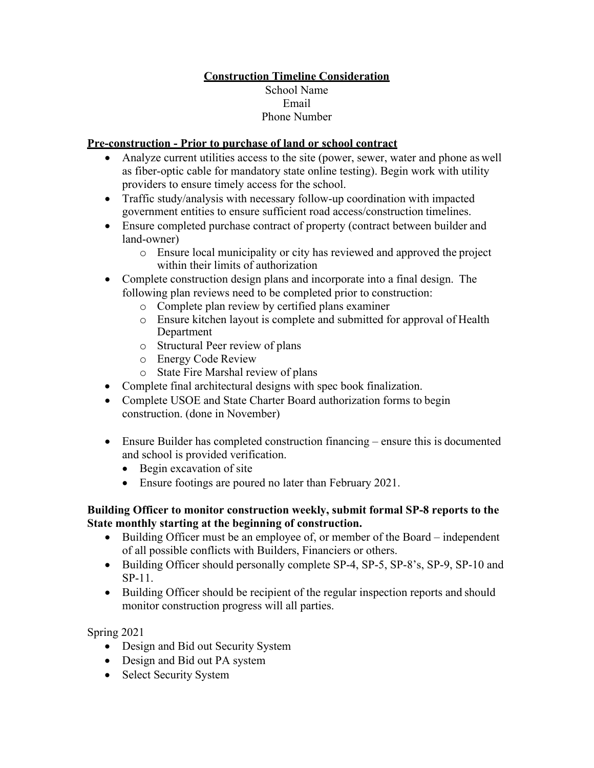## **Construction Timeline Consideration** School Name Email Phone Number

## **Pre-construction - Prior to purchase of land or school contract**

- Analyze current utilities access to the site (power, sewer, water and phone as well as fiber-optic cable for mandatory state online testing). Begin work with utility providers to ensure timely access for the school.
- Traffic study/analysis with necessary follow-up coordination with impacted government entities to ensure sufficient road access/construction timelines.
- Ensure completed purchase contract of property (contract between builder and land-owner)
	- o Ensure local municipality or city has reviewed and approved the project within their limits of authorization
- Complete construction design plans and incorporate into a final design. The following plan reviews need to be completed prior to construction:
	- o Complete plan review by certified plans examiner
	- o Ensure kitchen layout is complete and submitted for approval of Health Department
	- o Structural Peer review of plans
	- o Energy Code Review
	- o State Fire Marshal review of plans
- Complete final architectural designs with spec book finalization.
- Complete USOE and State Charter Board authorization forms to begin construction. (done in November)
- Ensure Builder has completed construction financing ensure this is documented and school is provided verification.
	- Begin excavation of site
	- Ensure footings are poured no later than February 2021.

## **Building Officer to monitor construction weekly, submit formal SP-8 reports to the State monthly starting at the beginning of construction.**

- Building Officer must be an employee of, or member of the Board independent of all possible conflicts with Builders, Financiers or others.
- Building Officer should personally complete SP-4, SP-5, SP-8's, SP-9, SP-10 and SP-11.
- Building Officer should be recipient of the regular inspection reports and should monitor construction progress will all parties.

Spring 2021

- Design and Bid out Security System
- Design and Bid out PA system
- Select Security System